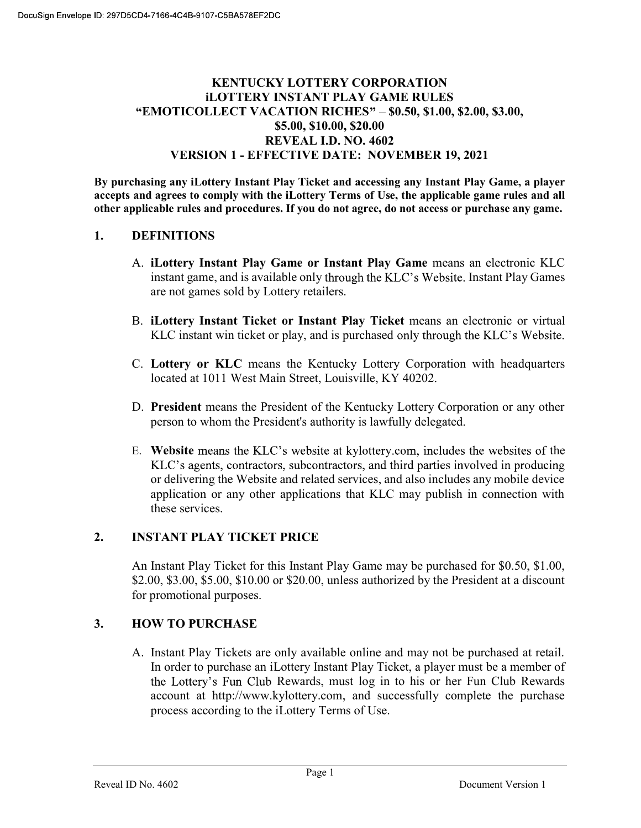# KENTUCKY LOTTERY CORPORATION iLOTTERY INSTANT PLAY GAME RULES "EMOTICOLLECT VACATION RICHES" - \$0.50, \$1.00, \$2.00, \$3.00, \$5.00, \$10.00, \$20.00 REVEAL I.D. NO. 4602 VERSION 1 - EFFECTIVE DATE: NOVEMBER 19, 2021

By purchasing any iLottery Instant Play Ticket and accessing any Instant Play Game, a player accepts and agrees to comply with the iLottery Terms of Use, the applicable game rules and all other applicable rules and procedures. If you do not agree, do not access or purchase any game.

## 1. DEFINITIONS

- A. iLottery Instant Play Game or Instant Play Game means an electronic KLC instant game, and is available only through the KLC's Website. Instant Play Games are not games sold by Lottery retailers.
- B. iLottery Instant Ticket or Instant Play Ticket means an electronic or virtual KLC instant win ticket or play, and is purchased only through the KLC's Website.
- C. Lottery or KLC means the Kentucky Lottery Corporation with headquarters located at 1011 West Main Street, Louisville, KY 40202.
- D. President means the President of the Kentucky Lottery Corporation or any other person to whom the President's authority is lawfully delegated.
- E. Website means the KLC's website at kylottery.com, includes the websites of the KLC's agents, contractors, subcontractors, and third parties involved in producing or delivering the Website and related services, and also includes any mobile device application or any other applications that KLC may publish in connection with these services.

## 2. INSTANT PLAY TICKET PRICE

An Instant Play Ticket for this Instant Play Game may be purchased for \$0.50, \$1.00, \$2.00, \$3.00, \$5.00, \$10.00 or \$20.00, unless authorized by the President at a discount for promotional purposes.

## 3. HOW TO PURCHASE

A. Instant Play Tickets are only available online and may not be purchased at retail. In order to purchase an iLottery Instant Play Ticket, a player must be a member of the Lottery's Fun Club Rewards, must log in to his or her Fun Club Rewards account at http://www.kylottery.com, and successfully complete the purchase process according to the iLottery Terms of Use.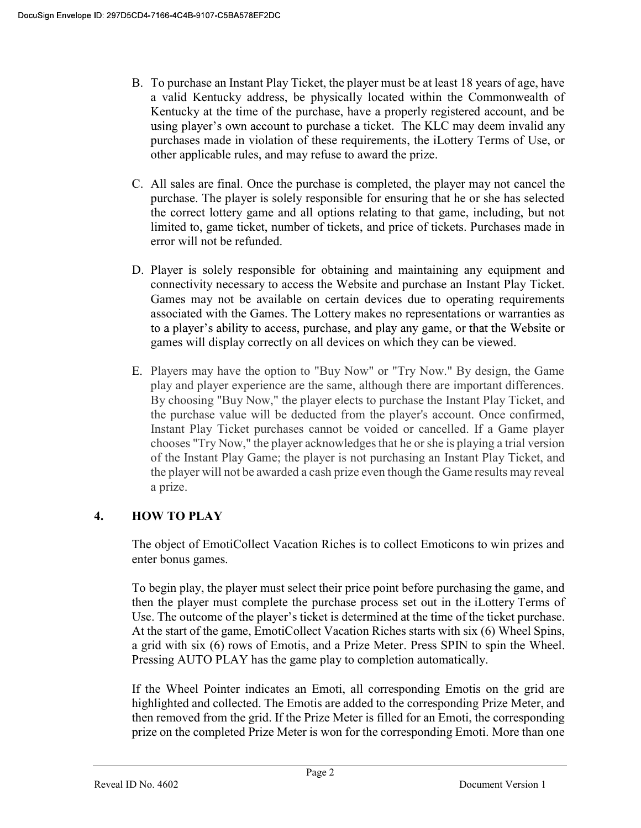- B. To purchase an Instant Play Ticket, the player must be at least 18 years of age, have a valid Kentucky address, be physically located within the Commonwealth of Kentucky at the time of the purchase, have a properly registered account, and be using player's own account to purchase a ticket. The KLC may deem invalid any purchases made in violation of these requirements, the iLottery Terms of Use, or other applicable rules, and may refuse to award the prize.
- C. All sales are final. Once the purchase is completed, the player may not cancel the purchase. The player is solely responsible for ensuring that he or she has selected the correct lottery game and all options relating to that game, including, but not limited to, game ticket, number of tickets, and price of tickets. Purchases made in error will not be refunded.
- D. Player is solely responsible for obtaining and maintaining any equipment and connectivity necessary to access the Website and purchase an Instant Play Ticket. Games may not be available on certain devices due to operating requirements associated with the Games. The Lottery makes no representations or warranties as to a player's ability to access, purchase, and play any game, or that the Website or games will display correctly on all devices on which they can be viewed.
- E. Players may have the option to "Buy Now" or "Try Now." By design, the Game play and player experience are the same, although there are important differences. By choosing "Buy Now," the player elects to purchase the Instant Play Ticket, and the purchase value will be deducted from the player's account. Once confirmed, Instant Play Ticket purchases cannot be voided or cancelled. If a Game player chooses "Try Now," the player acknowledges that he or she is playing a trial version of the Instant Play Game; the player is not purchasing an Instant Play Ticket, and the player will not be awarded a cash prize even though the Game results may reveal a prize.

# 4. HOW TO PLAY

The object of EmotiCollect Vacation Riches is to collect Emoticons to win prizes and enter bonus games.

To begin play, the player must select their price point before purchasing the game, and then the player must complete the purchase process set out in the iLottery Terms of Use. The outcome of the player's ticket is determined at the time of the ticket purchase. At the start of the game, EmotiCollect Vacation Riches starts with six (6) Wheel Spins, a grid with six (6) rows of Emotis, and a Prize Meter. Press SPIN to spin the Wheel. Pressing AUTO PLAY has the game play to completion automatically.

If the Wheel Pointer indicates an Emoti, all corresponding Emotis on the grid are highlighted and collected. The Emotis are added to the corresponding Prize Meter, and then removed from the grid. If the Prize Meter is filled for an Emoti, the corresponding prize on the completed Prize Meter is won for the corresponding Emoti. More than one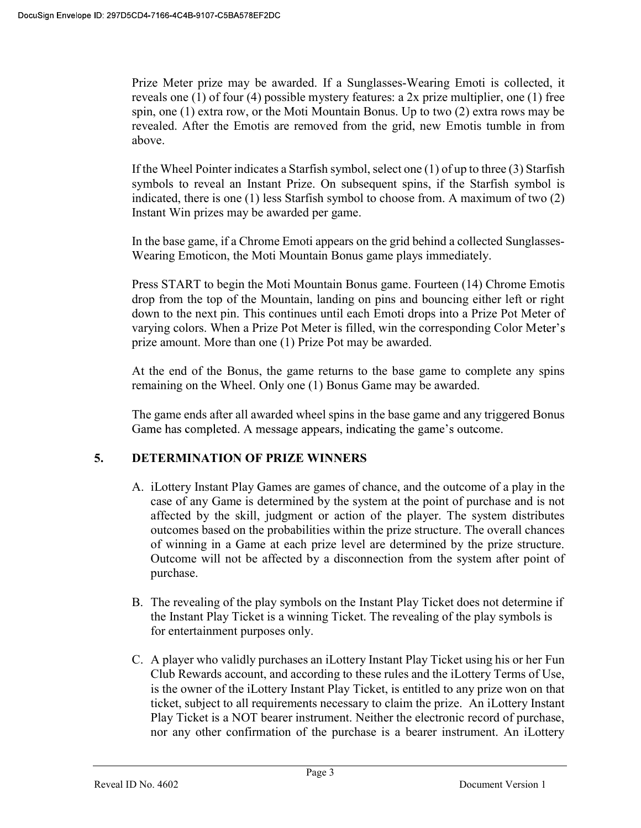Prize Meter prize may be awarded. If a Sunglasses-Wearing Emoti is collected, it reveals one (1) of four (4) possible mystery features: a 2x prize multiplier, one (1) free spin, one (1) extra row, or the Moti Mountain Bonus. Up to two (2) extra rows may be revealed. After the Emotis are removed from the grid, new Emotis tumble in from above.

If the Wheel Pointer indicates a Starfish symbol, select one (1) of up to three (3) Starfish symbols to reveal an Instant Prize. On subsequent spins, if the Starfish symbol is indicated, there is one (1) less Starfish symbol to choose from. A maximum of two (2) Instant Win prizes may be awarded per game.

In the base game, if a Chrome Emoti appears on the grid behind a collected Sunglasses-Wearing Emoticon, the Moti Mountain Bonus game plays immediately.

Press START to begin the Moti Mountain Bonus game. Fourteen (14) Chrome Emotis drop from the top of the Mountain, landing on pins and bouncing either left or right down to the next pin. This continues until each Emoti drops into a Prize Pot Meter of varying colors. When a Prize Pot Meter is filled, win the corresponding Color M prize amount. More than one (1) Prize Pot may be awarded.

At the end of the Bonus, the game returns to the base game to complete any spins remaining on the Wheel. Only one (1) Bonus Game may be awarded.

The game ends after all awarded wheel spins in the base game and any triggered Bonus Game has completed. A message appears, indicating the game's outcome.

## 5. DETERMINATION OF PRIZE WINNERS

- A. iLottery Instant Play Games are games of chance, and the outcome of a play in the case of any Game is determined by the system at the point of purchase and is not affected by the skill, judgment or action of the player. The system distributes outcomes based on the probabilities within the prize structure. The overall chances of winning in a Game at each prize level are determined by the prize structure. Outcome will not be affected by a disconnection from the system after point of purchase.
- B. The revealing of the play symbols on the Instant Play Ticket does not determine if the Instant Play Ticket is a winning Ticket. The revealing of the play symbols is for entertainment purposes only.
- C. A player who validly purchases an iLottery Instant Play Ticket using his or her Fun Club Rewards account, and according to these rules and the iLottery Terms of Use, is the owner of the iLottery Instant Play Ticket, is entitled to any prize won on that ticket, subject to all requirements necessary to claim the prize. An iLottery Instant Play Ticket is a NOT bearer instrument. Neither the electronic record of purchase, nor any other confirmation of the purchase is a bearer instrument. An iLottery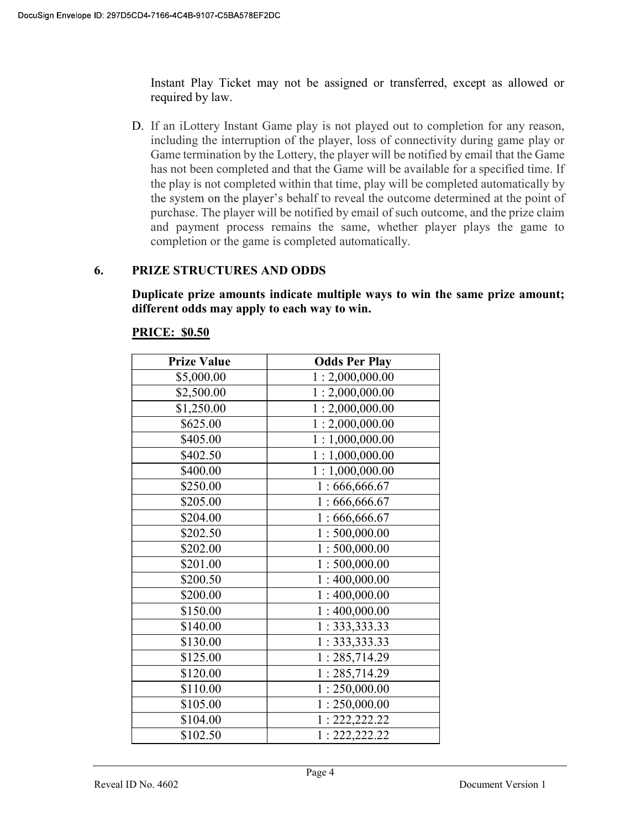Instant Play Ticket may not be assigned or transferred, except as allowed or required by law.

D. If an iLottery Instant Game play is not played out to completion for any reason, including the interruption of the player, loss of connectivity during game play or Game termination by the Lottery, the player will be notified by email that the Game has not been completed and that the Game will be available for a specified time. If the play is not completed within that time, play will be completed automatically by the system on the player's behalf to reveal the outcome determined at the point of purchase. The player will be notified by email of such outcome, and the prize claim and payment process remains the same, whether player plays the game to completion or the game is completed automatically.

## 6. PRIZE STRUCTURES AND ODDS

Duplicate prize amounts indicate multiple ways to win the same prize amount; different odds may apply to each way to win.

## PRICE: \$0.50

| <b>Prize Value</b> | <b>Odds Per Play</b> |
|--------------------|----------------------|
| \$5,000.00         | 1:2,000,000.00       |
| \$2,500.00         | 1:2,000,000.00       |
| \$1,250.00         | 1:2,000,000.00       |
| \$625.00           | 1:2,000,000.00       |
| \$405.00           | 1:1,000,000.00       |
| \$402.50           | 1:1,000,000.00       |
| \$400.00           | 1:1,000,000.00       |
| \$250.00           | 1:666,666.67         |
| \$205.00           | 1:666,666.67         |
| \$204.00           | 1:666,666.67         |
| \$202.50           | 1:500,000.00         |
| \$202.00           | 1:500,000.00         |
| \$201.00           | 1:500,000.00         |
| \$200.50           | 1:400,000.00         |
| \$200.00           | 1:400,000.00         |
| \$150.00           | 1:400,000.00         |
| \$140.00           | 1: 333, 333.33       |
| \$130.00           | 1: 333, 333.33       |
| \$125.00           | 1:285,714.29         |
| \$120.00           | 1:285,714.29         |
| \$110.00           | 1:250,000.00         |
| \$105.00           | 1:250,000.00         |
| \$104.00           | 1: 222, 222.22       |
| \$102.50           | 1: 222, 222.22       |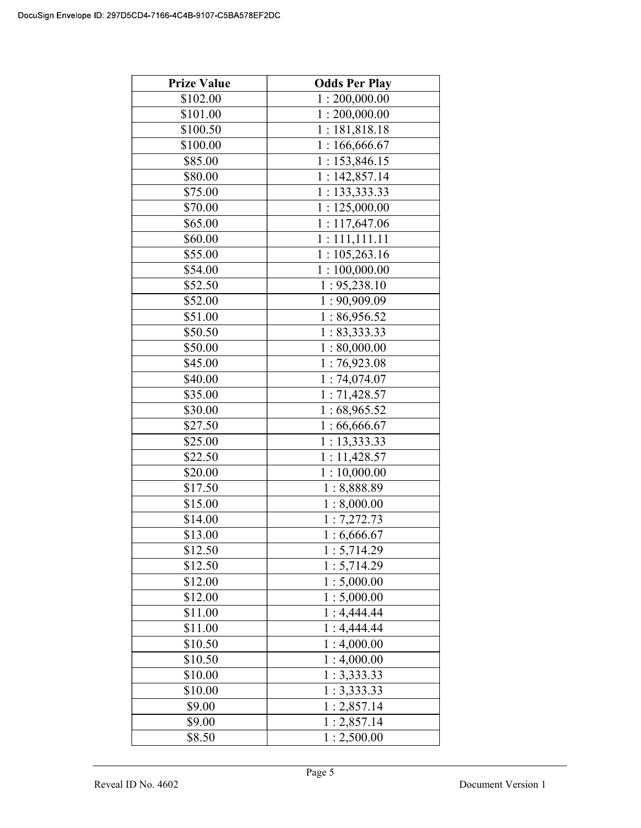| <b>Prize Value</b> | <b>Odds Per Play</b> |
|--------------------|----------------------|
| \$102.00           | 1:200,000.00         |
| \$101.00           | 1:200,000.00         |
| \$100.50           | 1:181,818.18         |
| \$100.00           | 1:166,666.67         |
| \$85.00            | 1:153,846.15         |
| \$80.00            | 1:142,857.14         |
| \$75.00            | 1: 133,333.33        |
| \$70.00            | 1:125,000.00         |
| \$65.00            | 1:117,647.06         |
| \$60.00            | 1:111,111.11         |
| \$55.00            | 1:105,263.16         |
| \$54.00            | 1:100,000.00         |
| \$52.50            | 1:95,238.10          |
| \$52.00            | 1:90,909.09          |
| \$51.00            | 1:86,956.52          |
| \$50.50            | 1: 83,333.33         |
| \$50.00            | 1:80,000.00          |
| \$45.00            | 1:76,923.08          |
| \$40.00            | 1:74,074.07          |
| \$35.00            | 1:71,428.57          |
| \$30.00            | 1:68,965.52          |
| \$27.50            | 1:66,666.67          |
| \$25.00            | 1:13,333.33          |
| \$22.50            | 1:11,428.57          |
| \$20.00            | 1:10,000.00          |
| \$17.50            | 1:8,888.89           |
| \$15.00            | 1:8,000.00           |
| \$14.00            | 1:7,272.73           |
| \$13.00            | 1:6,666.67           |
| \$12.50            | 1:5,714.29           |
| \$12.50            | 1:5,714.29           |
| \$12.00            | 1:5,000.00           |
| \$12.00            | 1:5,000.00           |
| \$11.00            | 1:4,444.44           |
| \$11.00            | 1:4,444.44           |
| \$10.50            | 1:4,000.00           |
| \$10.50            | 1:4,000.00           |
| \$10.00            | 1:3,333.33           |
| \$10.00            | 1:3,333.33           |
| \$9.00             | 1:2,857.14           |
| \$9.00             | 1:2,857.14           |
| \$8.50             | 1:2,500.00           |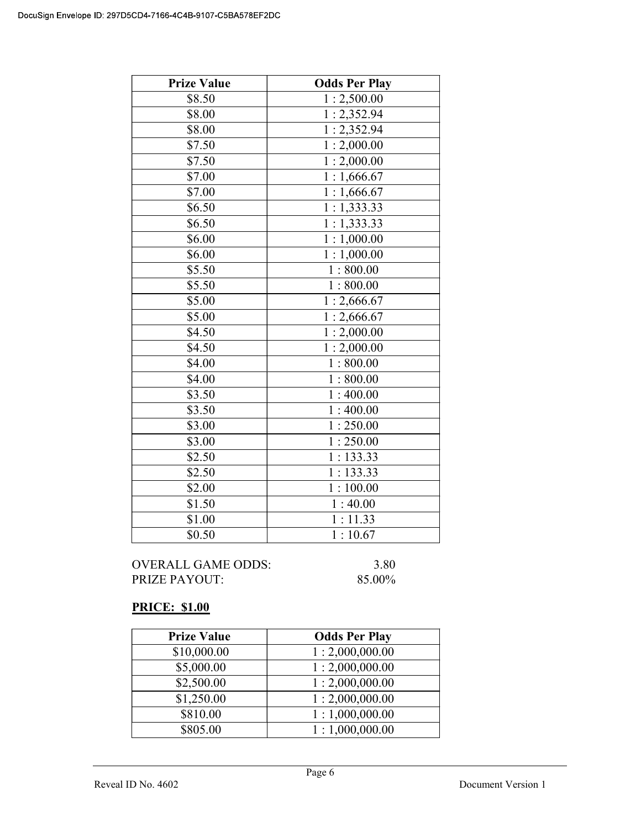| <b>Prize Value</b> | <b>Odds Per Play</b>    |
|--------------------|-------------------------|
| \$8.50             | 1:2,500.00              |
| \$8.00             | 1:2,352.94              |
| \$8.00             | 1:2,352.94              |
| \$7.50             | 1:2,000.00              |
| \$7.50             | $\overline{1:}2,000.00$ |
| \$7.00             | 1:1,666.67              |
| \$7.00             | $\overline{1:1,666.67}$ |
| \$6.50             | 1:1,333.33              |
| \$6.50             | 1:1,333.33              |
| \$6.00             | 1:1,000.00              |
| \$6.00             | 1:1,000.00              |
| \$5.50             | 1:800.00                |
| \$5.50             | 1:800.00                |
| \$5.00             | 1:2,666.67              |
| \$5.00             | 1:2,666.67              |
| \$4.50             | 1:2,000.00              |
| \$4.50             | 1:2,000.00              |
| \$4.00             | 1:800.00                |
| \$4.00             | 1:800.00                |
| \$3.50             | 1:400.00                |
| \$3.50             | 1:400.00                |
| \$3.00             | 1:250.00                |
| \$3.00             | 1:250.00                |
| \$2.50             | 1:133.33                |
| \$2.50             | 1:133.33                |
| \$2.00             | 1:100.00                |
| \$1.50             | 1:40.00                 |
| \$1.00             | 1:11.33                 |
| \$0.50             | 1:10.67                 |

OVERALL GAME ODDS: 3.80<br>PRIZE PAYOUT: 85.00% PRIZE PAYOUT:

# PRICE: \$1.00

| <b>Prize Value</b> | <b>Odds Per Play</b> |
|--------------------|----------------------|
| \$10,000.00        | 1:2,000,000.00       |
| \$5,000.00         | 1:2,000,000.00       |
| \$2,500.00         | 1:2,000,000.00       |
| \$1,250.00         | 1:2,000,000.00       |
| \$810.00           | 1:1,000,000.00       |
| \$805.00           | 1:1,000,000.00       |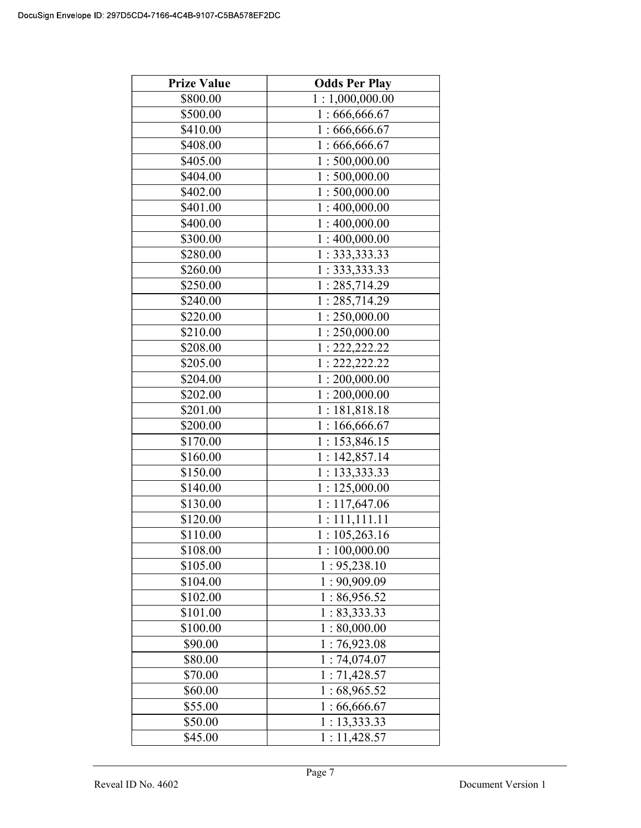| <b>Prize Value</b> | <b>Odds Per Play</b>      |
|--------------------|---------------------------|
| \$800.00           | 1:1,000,000.00            |
| \$500.00           | 1:666,666.67              |
| \$410.00           | 1:666,666.67              |
| \$408.00           | 1:666,666.67              |
| \$405.00           | 1:500,000.00              |
| \$404.00           | 1:500,000.00              |
| \$402.00           | 1:500,000.00              |
| \$401.00           | $\overline{1:400,000.00}$ |
| \$400.00           | 1:400,000.00              |
| \$300.00           | 1:400,000.00              |
| \$280.00           | 1: 333, 333.33            |
| \$260.00           | 1:333,333.33              |
| \$250.00           | 1:285,714.29              |
| \$240.00           | 1: 285, 714.29            |
| \$220.00           | 1:250,000.00              |
| \$210.00           | 1:250,000.00              |
| \$208.00           | 1: 222, 222.22            |
| \$205.00           | 1: 222, 222.22            |
| \$204.00           | 1:200,000.00              |
| \$202.00           | 1:200,000.00              |
| \$201.00           | 1:181,818.18              |
| \$200.00           | 1:166,666.67              |
| \$170.00           | 1:153,846.15              |
| \$160.00           | 1:142,857.14              |
| \$150.00           | 1: 133,333.33             |
| \$140.00           | 1:125,000.00              |
| \$130.00           | 1:117,647.06              |
| \$120.00           | 1:111,111.11              |
| \$110.00           | 1:105,263.16              |
| \$108.00           | 1:100,000.00              |
| \$105.00           | 1: 95,238.10              |
| \$104.00           | 1:90,909.09               |
| \$102.00           | 1:86,956.52               |
| \$101.00           | 1: 83,333.33              |
| \$100.00           | 1:80,000.00               |
| \$90.00            | 1:76,923.08               |
| \$80.00            | 1:74,074.07               |
| \$70.00            | 1:71,428.57               |
| \$60.00            | 1:68,965.52               |
| \$55.00            | 1:66,666.67               |
| \$50.00            | 1: 13,333.33              |
| \$45.00            | 1:11,428.57               |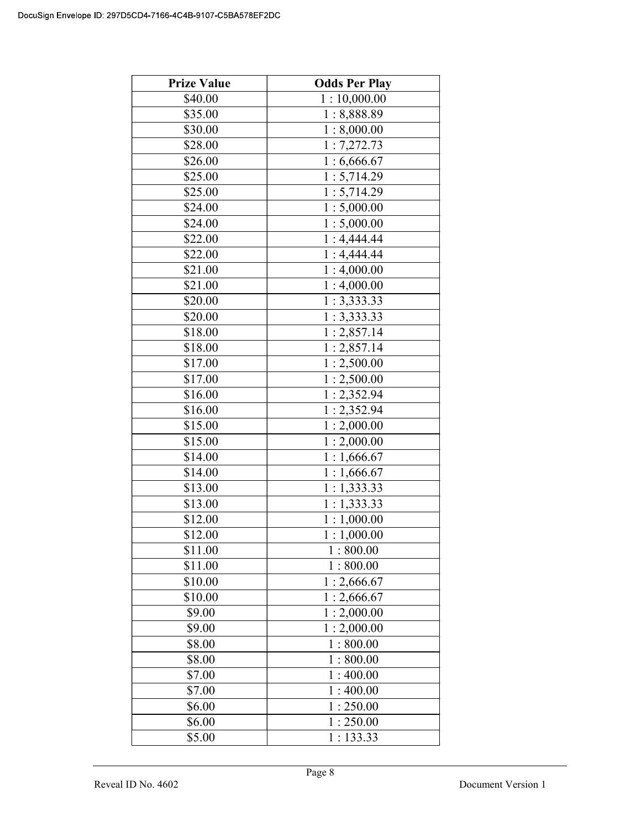| <b>Prize Value</b> | <b>Odds Per Play</b> |
|--------------------|----------------------|
| \$40.00            | 1:10,000.00          |
| \$35.00            | 1:8,888.89           |
| \$30.00            | 1:8,000.00           |
| \$28.00            | 1:7,272.73           |
| \$26.00            | 1:6,666.67           |
| \$25.00            | 1:5,714.29           |
| \$25.00            | 1:5,714.29           |
| \$24.00            | 1:5,000.00           |
| \$24.00            | 1:5,000.00           |
| \$22.00            | 1:4,444.44           |
| \$22.00            | 1:4,444.44           |
| \$21.00            | 1:4,000.00           |
| \$21.00            | 1:4,000.00           |
| \$20.00            | 1:3,333.33           |
| \$20.00            | 1:3,333.33           |
| \$18.00            | 1:2,857.14           |
| \$18.00            | 1:2,857.14           |
| \$17.00            | 1:2,500.00           |
| \$17.00            | 1:2,500.00           |
| \$16.00            | 1:2,352.94           |
| \$16.00            | 1:2,352.94           |
| \$15.00            | 1:2,000.00           |
| \$15.00            | 1:2,000.00           |
| \$14.00            | 1:1,666.67           |
| \$14.00            | 1:1,666.67           |
| \$13.00            | 1:1,333.33           |
| \$13.00            | 1:1,333.33           |
| \$12.00            | 1:1,000.00           |
| \$12.00            | 1:1,000.00           |
| \$11.00            | 1:800.00             |
| \$11.00            | 1:800.00             |
| \$10.00            | 1:2,666.67           |
| \$10.00            | 1:2,666.67           |
| \$9.00             | 1:2,000.00           |
| \$9.00             | 1:2,000.00           |
| \$8.00             | 1:800.00             |
| \$8.00             | 1:800.00             |
| \$7.00             | 1:400.00             |
| \$7.00             | 1:400.00             |
| \$6.00             | 1:250.00             |
| \$6.00             | 1:250.00             |
| \$5.00             | 1:133.33             |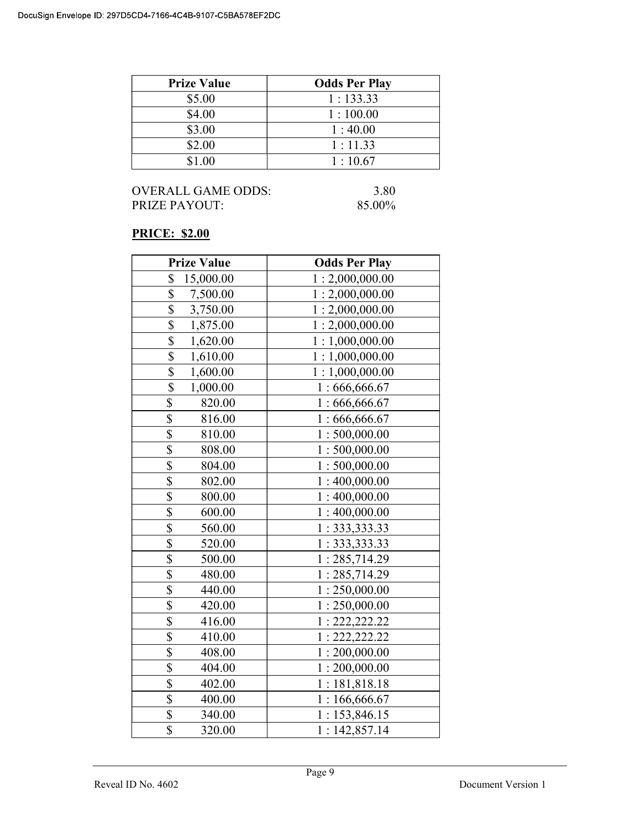| <b>Prize Value</b> | <b>Odds Per Play</b> |
|--------------------|----------------------|
| \$5.00             | 1:133.33             |
| \$4.00             | 1:100.00             |
| \$3.00             | 1:40.00              |
| \$2.00             | 1:11.33              |
| \$1.00             | 1:10.67              |

## OVERALL GAME ODDS: 3.80<br>PRIZE PAYOUT: 85.00% PRIZE PAYOUT:

# PRICE: \$2.00

| <b>Prize Value</b>                  | <b>Odds Per Play</b> |
|-------------------------------------|----------------------|
| \$<br>15,000.00                     | 1:2,000,000.00       |
| \$<br>7,500.00                      | 1:2,000,000.00       |
| \$<br>3,750.00                      | 1:2,000,000.00       |
| $\overline{\$}$<br>1,875.00         | 1:2,000,000.00       |
| $\overline{\$}$<br>1,620.00         | 1:1,000,000.00       |
| \$<br>1,610.00                      | 1:1,000,000.00       |
| \$<br>1,600.00                      | 1:1,000,000.00       |
| $\overline{\mathbb{S}}$<br>1,000.00 | 1:666,666.67         |
| \$<br>820.00                        | 1:666,666.67         |
| \$<br>816.00                        | 1:666,666.67         |
| \$<br>810.00                        | 1:500,000.00         |
| \$<br>808.00                        | 1:500,000.00         |
| \$<br>804.00                        | 1:500,000.00         |
| \$<br>802.00                        | 1:400,000.00         |
| \$<br>800.00                        | 1:400,000.00         |
| \$<br>600.00                        | 1:400,000.00         |
| $\overline{\$}$<br>560.00           | 1: 333, 333.33       |
| \$<br>520.00                        | 1: 333, 333.33       |
| \$<br>500.00                        | 1:285,714.29         |
| \$<br>480.00                        | 1:285,714.29         |
| \$<br>440.00                        | 1:250,000.00         |
| \$<br>420.00                        | 1:250,000.00         |
| \$<br>416.00                        | 1: 222, 222.22       |
| \$<br>410.00                        | 1: 222, 222.22       |
| \$<br>408.00                        | 1:200,000.00         |
| \$<br>404.00                        | 1:200,000.00         |
| \$<br>402.00                        | 1:181,818.18         |
| \$<br>400.00                        | 1:166,666.67         |
| \$<br>340.00                        | 1:153,846.15         |
| \$<br>320.00                        | 1:142,857.14         |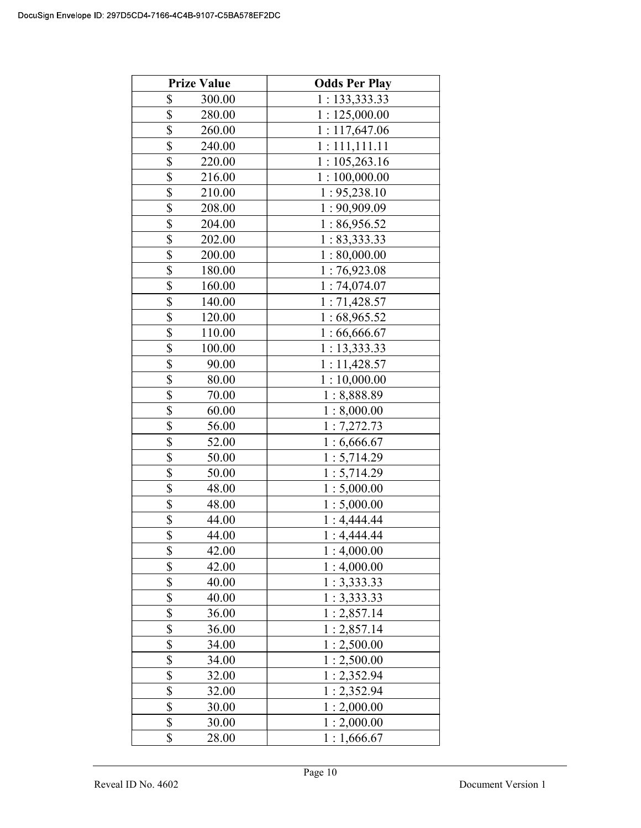| <b>Prize Value</b>               | <b>Odds Per Play</b> |
|----------------------------------|----------------------|
| \$<br>300.00                     | 1: 133, 333.33       |
| \$<br>280.00                     | 1:125,000.00         |
| \$<br>260.00                     | 1:117,647.06         |
| \$<br>240.00                     | 1:111,111.11         |
| \$<br>220.00                     | 1:105,263.16         |
| \$<br>216.00                     | 1:100,000.00         |
| \$<br>210.00                     | 1:95,238.10          |
| \$<br>208.00                     | 1:90,909.09          |
| \$<br>204.00                     | 1:86,956.52          |
| \$<br>202.00                     | 1:83,333.33          |
| \$<br>200.00                     | 1:80,000.00          |
| \$<br>180.00                     | 1:76,923.08          |
| \$<br>160.00                     | 1:74,074.07          |
| \$<br>140.00                     | 1:71,428.57          |
| \$<br>120.00                     | 1:68,965.52          |
| \$<br>110.00                     | 1:66,666.67          |
| \$<br>100.00                     | 1:13,333.33          |
| \$<br>90.00                      | 1:11,428.57          |
| \$<br>80.00                      | 1:10,000.00          |
| \$<br>70.00                      | 1:8,888.89           |
| \$<br>60.00                      | 1:8,000.00           |
| \$<br>56.00                      | 1:7,272.73           |
| $\overline{\mathbb{S}}$<br>52.00 | 1:6,666.67           |
| \$<br>50.00                      | 1:5,714.29           |
| \$<br>50.00                      | 1:5,714.29           |
| \$<br>48.00                      | 1:5,000.00           |
| \$<br>48.00                      | 1:5,000.00           |
| \$<br>44.00                      | 1:4,444.44           |
| \$<br>44.00                      | 1:4,444.44           |
| \$<br>42.00                      | 1:4,000.00           |
| \$<br>42.00                      | 1:4,000.00           |
| \$<br>40.00                      | 1:3,333.33           |
| \$<br>40.00                      | 1:3,333.33           |
| \$<br>36.00                      | 1:2,857.14           |
| \$<br>36.00                      | 1:2,857.14           |
| \$<br>34.00                      | 1:2,500.00           |
| $\overline{\mathbb{S}}$<br>34.00 | 1:2,500.00           |
| \$<br>32.00                      | 1:2,352.94           |
| \$<br>32.00                      | 1:2,352.94           |
| \$<br>30.00                      | 1:2,000.00           |
| \$<br>30.00                      | 1:2,000.00           |
| \$<br>28.00                      | 1:1,666.67           |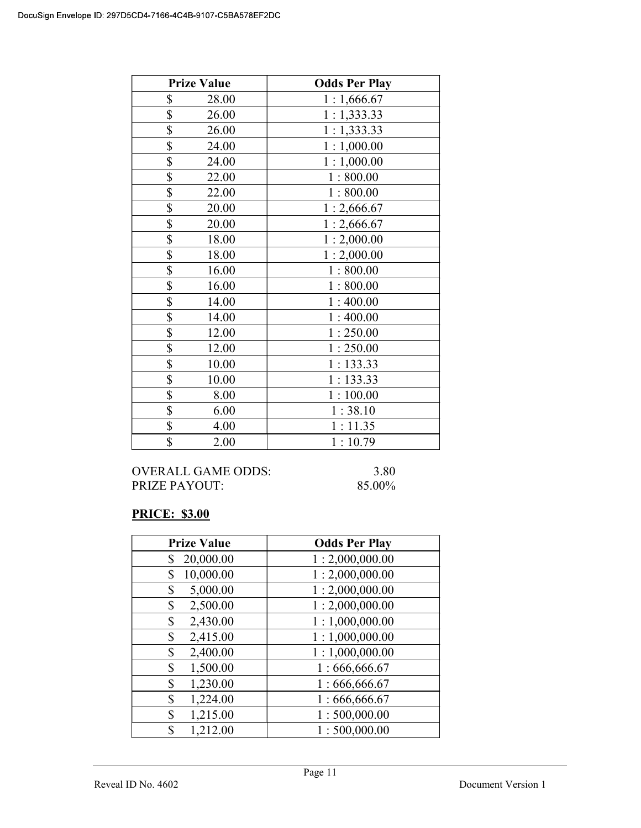| <b>Prize Value</b> | <b>Odds Per Play</b> |
|--------------------|----------------------|
| \$<br>28.00        | 1:1,666.67           |
| \$<br>26.00        | 1:1,333.33           |
| \$<br>26.00        | 1:1,333.33           |
| \$<br>24.00        | 1:1,000.00           |
| \$<br>24.00        | 1:1,000.00           |
| \$<br>22.00        | 1:800.00             |
| \$<br>22.00        | 1:800.00             |
| \$<br>20.00        | 1:2,666.67           |
| \$<br>20.00        | 1:2,666.67           |
| \$<br>18.00        | 1:2,000.00           |
| \$<br>18.00        | 1:2,000.00           |
| \$<br>16.00        | 1:800.00             |
| \$<br>16.00        | 1:800.00             |
| \$<br>14.00        | 1:400.00             |
| \$<br>14.00        | 1:400.00             |
| \$<br>12.00        | 1:250.00             |
| \$<br>12.00        | 1:250.00             |
| \$<br>10.00        | 1:133.33             |
| \$<br>10.00        | 1:133.33             |
| \$<br>8.00         | 1:100.00             |
| \$<br>6.00         | 1:38.10              |
| \$<br>4.00         | 1:11.35              |
| \$<br>2.00         | 1:10.79              |

## OVERALL GAME ODDS: 3.80<br>PRIZE PAYOUT: 85.00% PRIZE PAYOUT:

# PRICE: \$3.00

| <b>Prize Value</b> | <b>Odds Per Play</b> |
|--------------------|----------------------|
| 20,000.00<br>\$    | 1:2,000,000.00       |
| 10,000.00<br>\$    | 1:2,000,000.00       |
| 5,000.00<br>\$     | 1:2,000,000.00       |
| 2,500.00<br>\$     | 1:2,000,000.00       |
| 2,430.00<br>\$     | 1:1,000,000.00       |
| 2,415.00<br>\$     | 1:1,000,000.00       |
| \$<br>2,400.00     | 1:1,000,000.00       |
| 1,500.00<br>\$     | 1:666,666.67         |
| 1,230.00<br>\$     | 1:666,666.67         |
| 1,224.00<br>\$     | 1:666,666.67         |
| 1,215.00<br>\$     | 1:500,000.00         |
| 1,212.00<br>\$     | 1:500,000.00         |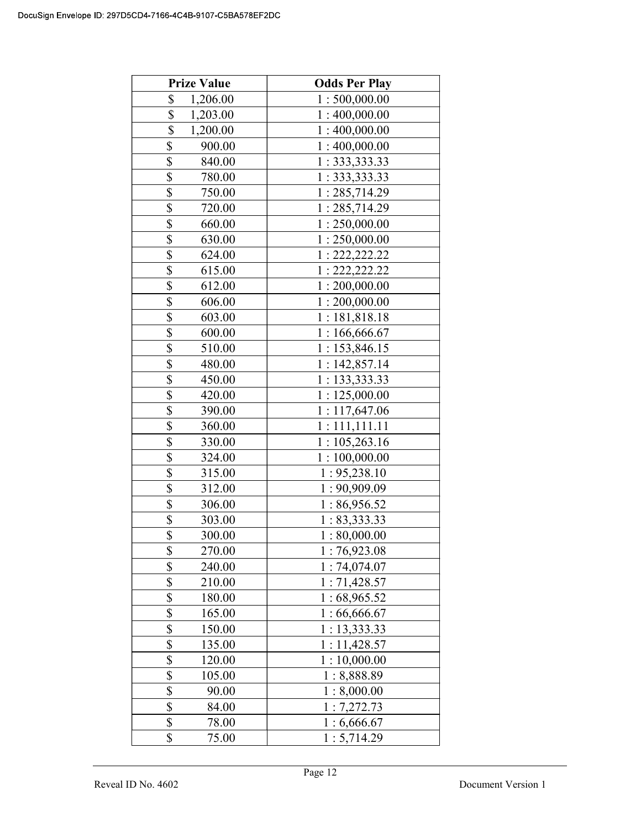| <b>Prize Value</b>       | <b>Odds Per Play</b> |
|--------------------------|----------------------|
| \$<br>1,206.00           | 1:500,000.00         |
| \$<br>1,203.00           | 1:400,000.00         |
| \$<br>1,200.00           | 1:400,000.00         |
| \$<br>900.00             | 1:400,000.00         |
| \$<br>840.00             | 1: 333, 333.33       |
| \$<br>780.00             | 1: 333, 333.33       |
| \$<br>750.00             | 1:285,714.29         |
| \$<br>720.00             | 1:285,714.29         |
| \$<br>660.00             | 1:250,000.00         |
| \$<br>630.00             | 1:250,000.00         |
| \$<br>624.00             | 1: 222, 222.22       |
| \$<br>615.00             | 1: 222, 222.22       |
| \$<br>612.00             | 1:200,000.00         |
| \$<br>606.00             | 1:200,000.00         |
| \$<br>603.00             | 1:181,818.18         |
| \$<br>600.00             | 1:166,666.67         |
| \$<br>510.00             | 1:153,846.15         |
| \$<br>480.00             | 1:142,857.14         |
| \$<br>450.00             | 1: 133, 333.33       |
| \$<br>420.00             | 1:125,000.00         |
| \$<br>390.00             | 1:117,647.06         |
| \$<br>360.00             | 1:111,111.11         |
| \$<br>330.00             | 1:105,263.16         |
| \$<br>324.00             | 1:100,000.00         |
| \$<br>315.00             | 1:95,238.10          |
| \$<br>312.00             | 1:90,909.09          |
| \$<br>306.00             | 1:86,956.52          |
| \$<br>303.00             | 1: 83,333.33         |
| \$<br>300.00             | $1:80,\!000.00$      |
| \$<br>270.00             | 1:76,923.08          |
| \$<br>240.00             | 1:74,074.07          |
| \$<br>210.00             | 1:71,428.57          |
| \$<br>180.00             | 1:68,965.52          |
| \$<br>165.00             | 1:66,666.67          |
| \$<br>150.00             | 1:13,333.33          |
| \$<br>135.00             | 1:11,428.57          |
| \$<br>120.00             | 1:10,000.00          |
| \$<br>105.00             | 1:8,888.89           |
| \$<br>90.00              | 1:8,000.00           |
| \$<br>84.00              | 1:7,272.73           |
| $\overline{\$}$<br>78.00 | 1:6,666.67           |
| \$<br>75.00              | 1:5,714.29           |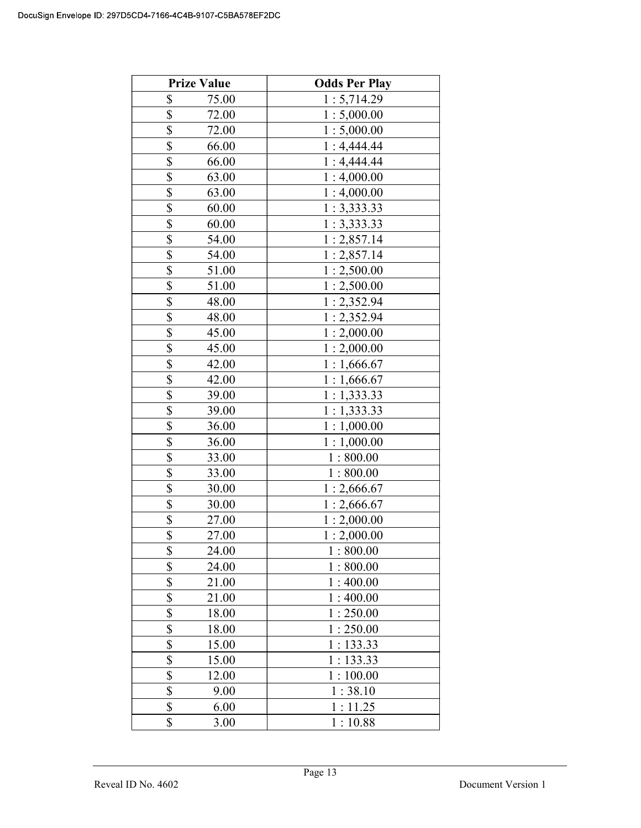| <b>Prize Value</b> | <b>Odds Per Play</b> |
|--------------------|----------------------|
| \$<br>75.00        | 1:5,714.29           |
| \$<br>72.00        | 1:5,000.00           |
| \$<br>72.00        | 1:5,000.00           |
| \$<br>66.00        | 1:4,444.44           |
| \$<br>66.00        | 1:4,444.44           |
| \$<br>63.00        | 1:4,000.00           |
| \$<br>63.00        | 1:4,000.00           |
| \$<br>60.00        | 1:3,333.33           |
| \$<br>60.00        | 1:3,333.33           |
| \$<br>54.00        | 1:2,857.14           |
| \$<br>54.00        | 1:2,857.14           |
| \$<br>51.00        | 1:2,500.00           |
| \$<br>51.00        | 1:2,500.00           |
| \$<br>48.00        | 1:2,352.94           |
| \$<br>48.00        | 1:2,352.94           |
| \$<br>45.00        | 1:2,000.00           |
| \$<br>45.00        | 1:2,000.00           |
| \$<br>42.00        | 1:1,666.67           |
| \$<br>42.00        | 1:1,666.67           |
| \$<br>39.00        | 1:1,333.33           |
| \$<br>39.00        | 1:1,333.33           |
| \$<br>36.00        | 1:1,000.00           |
| \$<br>36.00        | 1:1,000.00           |
| \$<br>33.00        | 1:800.00             |
| \$<br>33.00        | 1:800.00             |
| \$<br>30.00        | 1:2,666.67           |
| \$<br>30.00        | 1:2,666.67           |
| \$<br>27.00        | 1:2,000.00           |
| \$<br>27.00        | 1:2,000.00           |
| \$<br>24.00        | 1:800.00             |
| \$<br>24.00        | 1:800.00             |
| \$<br>21.00        | 1:400.00             |
| \$<br>21.00        | 1:400.00             |
| \$<br>18.00        | 1:250.00             |
| \$<br>18.00        | 1:250.00             |
| \$<br>15.00        | 1:133.33             |
| \$<br>15.00        | 1:133.33             |
| \$<br>12.00        | 1:100.00             |
| \$<br>9.00         | 1:38.10              |
| \$<br>6.00         | 1:11.25              |
| \$<br>3.00         | 1:10.88              |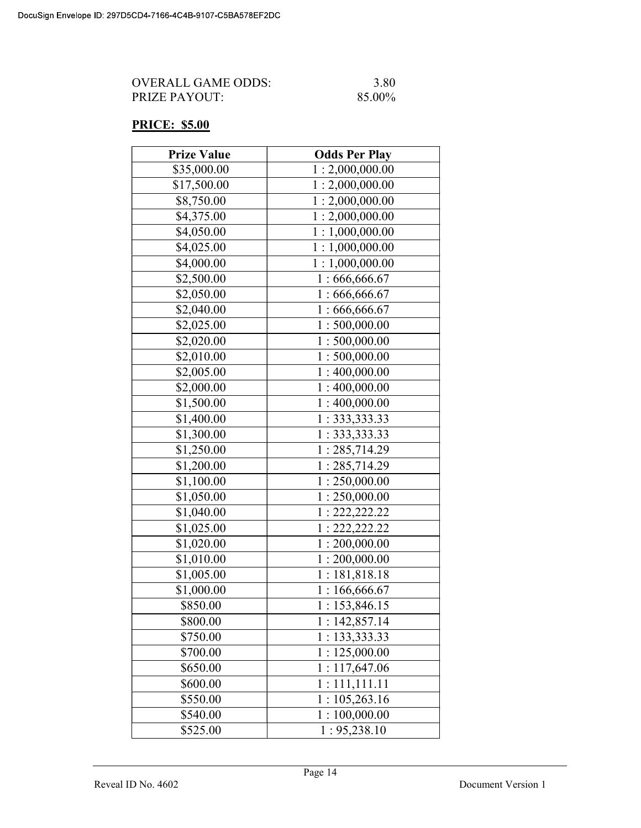| OVERALL GAME ODDS: | 3.80   |
|--------------------|--------|
| PRIZE PAYOUT:      | 85.00% |

# PRICE: \$5.00

| <b>Prize Value</b> | <b>Odds Per Play</b> |
|--------------------|----------------------|
| \$35,000.00        | 1:2,000,000.00       |
| \$17,500.00        | 1:2,000,000.00       |
| \$8,750.00         | 1:2,000,000.00       |
| \$4,375.00         | 1:2,000,000.00       |
| \$4,050.00         | 1:1,000,000.00       |
| \$4,025.00         | 1:1,000,000.00       |
| \$4,000.00         | 1:1,000,000.00       |
| \$2,500.00         | 1:666,666.67         |
| \$2,050.00         | 1:666,666.67         |
| \$2,040.00         | 1:666,666.67         |
| \$2,025.00         | 1:500,000.00         |
| \$2,020.00         | 1:500,000.00         |
| \$2,010.00         | 1:500,000.00         |
| \$2,005.00         | 1:400,000.00         |
| \$2,000.00         | 1:400,000.00         |
| \$1,500.00         | 1:400,000.00         |
| \$1,400.00         | 1: 333, 333.33       |
| \$1,300.00         | 1: 333, 333.33       |
| \$1,250.00         | 1:285,714.29         |
| \$1,200.00         | 1:285,714.29         |
| \$1,100.00         | 1:250,000.00         |
| \$1,050.00         | 1:250,000.00         |
| \$1,040.00         | 1: 222, 222.22       |
| \$1,025.00         | 1: 222, 222.22       |
| \$1,020.00         | 1:200,000.00         |
| \$1,010.00         | 1:200,000.00         |
| \$1,005.00         | 1:181,818.18         |
| \$1,000.00         | 1:166,666.67         |
| \$850.00           | 1:153,846.15         |
| \$800.00           | 1:142,857.14         |
| \$750.00           | 1: 133,333.33        |
| \$700.00           | 1:125,000.00         |
| \$650.00           | 1:117,647.06         |
| \$600.00           | 1:111,111.11         |
| \$550.00           | 1:105,263.16         |
| \$540.00           | 1:100,000.00         |
| \$525.00           | 1: 95,238.10         |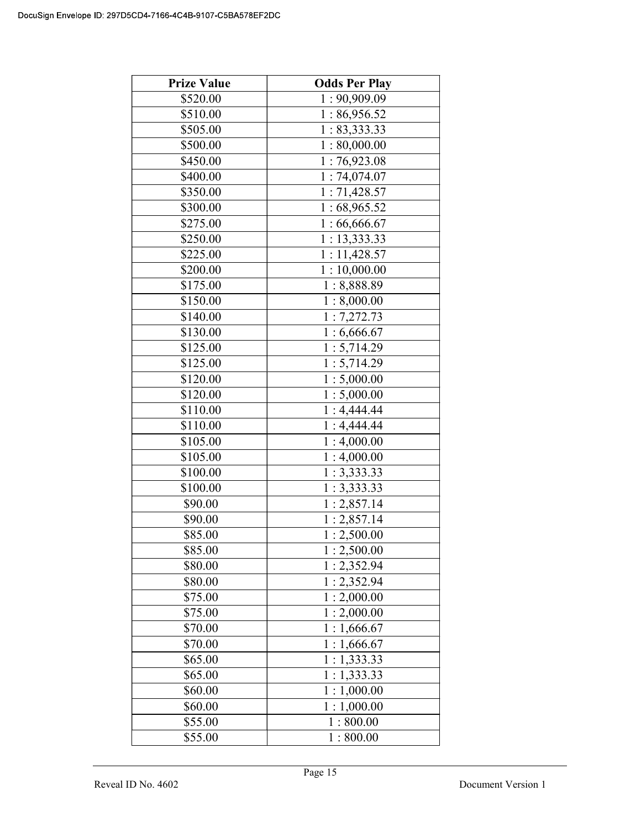| <b>Prize Value</b> | <b>Odds Per Play</b> |
|--------------------|----------------------|
| \$520.00           | 1:90,909.09          |
| \$510.00           | 1:86,956.52          |
| \$505.00           | 1: 83,333.33         |
| \$500.00           | 1:80,000.00          |
| \$450.00           | 1:76,923.08          |
| \$400.00           | 1:74,074.07          |
| \$350.00           | 1:71,428.57          |
| \$300.00           | 1:68,965.52          |
| \$275.00           | 1:66,666.67          |
| \$250.00           | 1: 13, 333.33        |
| \$225.00           | 1:11,428.57          |
| \$200.00           | 1:10,000.00          |
| \$175.00           | 1:8,888.89           |
| \$150.00           | 1:8,000.00           |
| \$140.00           | 1:7,272.73           |
| \$130.00           | 1:6,666.67           |
| \$125.00           | 1:5,714.29           |
| \$125.00           | 1:5,714.29           |
| \$120.00           | 1:5,000.00           |
| \$120.00           | 1:5,000.00           |
| \$110.00           | 1:4,444.44           |
| \$110.00           | 1:4,444.44           |
| \$105.00           | 1:4,000.00           |
| \$105.00           | 1:4,000.00           |
| \$100.00           | 1:3,333.33           |
| \$100.00           | 1:3,333.33           |
| \$90.00            | 1:2,857.14           |
| \$90.00            | 1:2,857.14           |
| \$85.00            | 1:2,500.00           |
| \$85.00            | 1:2,500.00           |
| \$80.00            | 1:2,352.94           |
| \$80.00            | 1:2,352.94           |
| \$75.00            | 1:2,000.00           |
| \$75.00            | 1:2,000.00           |
| \$70.00            | 1:1,666.67           |
| \$70.00            | 1:1,666.67           |
| \$65.00            | 1:1,333.33           |
| \$65.00            | 1:1,333.33           |
| \$60.00            | 1:1,000.00           |
| \$60.00            | 1:1,000.00           |
| \$55.00            | 1:800.00             |
| \$55.00            | 1:800.00             |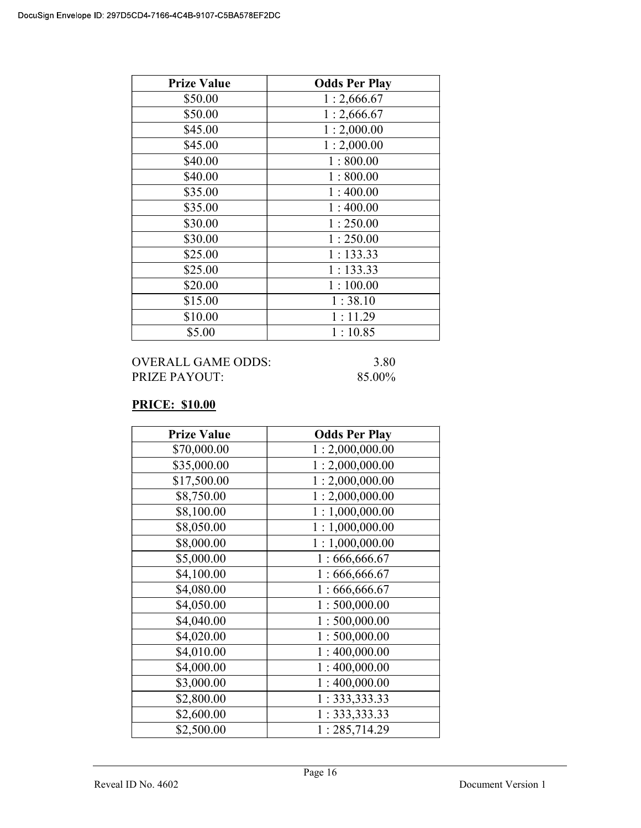| <b>Prize Value</b> | <b>Odds Per Play</b> |
|--------------------|----------------------|
| \$50.00            | 1:2,666.67           |
| \$50.00            | 1:2,666.67           |
| \$45.00            | 1:2,000.00           |
| \$45.00            | 1:2,000.00           |
| \$40.00            | 1:800.00             |
| \$40.00            | 1:800.00             |
| \$35.00            | 1:400.00             |
| \$35.00            | 1:400.00             |
| \$30.00            | 1:250.00             |
| \$30.00            | 1:250.00             |
| \$25.00            | 1:133.33             |
| \$25.00            | 1:133.33             |
| \$20.00            | 1:100.00             |
| \$15.00            | 1:38.10              |
| \$10.00            | 1:11.29              |
| \$5.00             | 1:10.85              |

| OVERALL GAME ODDS: | 3.80   |
|--------------------|--------|
| PRIZE PAYOUT:      | 85.00% |

 $85.00\%$ 

# PRICE: \$10.00

| <b>Prize Value</b> | <b>Odds Per Play</b> |
|--------------------|----------------------|
| \$70,000.00        | 1:2,000,000.00       |
| \$35,000.00        | 1:2,000,000.00       |
| \$17,500.00        | 1:2,000,000.00       |
| \$8,750.00         | 1:2,000,000.00       |
| \$8,100.00         | 1:1,000,000.00       |
| \$8,050.00         | 1:1,000,000.00       |
| \$8,000.00         | 1:1,000,000.00       |
| \$5,000.00         | 1:666,666.67         |
| \$4,100.00         | 1:666,666.67         |
| \$4,080.00         | 1:666,666.67         |
| \$4,050.00         | 1:500,000.00         |
| \$4,040.00         | 1:500,000.00         |
| \$4,020.00         | 1:500,000.00         |
| \$4,010.00         | 1:400,000.00         |
| \$4,000.00         | 1:400,000.00         |
| \$3,000.00         | 1:400,000.00         |
| \$2,800.00         | 1: 333, 333.33       |
| \$2,600.00         | 1: 333, 333.33       |
| \$2,500.00         | 1:285,714.29         |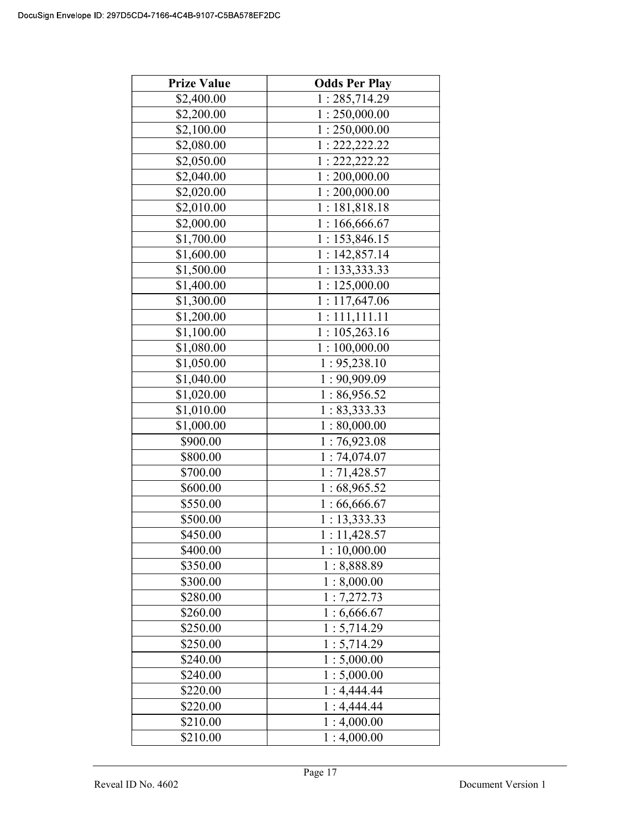| <b>Prize Value</b> | <b>Odds Per Play</b> |
|--------------------|----------------------|
| \$2,400.00         | 1:285,714.29         |
| \$2,200.00         | 1:250,000.00         |
| \$2,100.00         | 1:250,000.00         |
| \$2,080.00         | 1: 222, 222.22       |
| \$2,050.00         | 1: 222, 222.22       |
| \$2,040.00         | 1:200,000.00         |
| \$2,020.00         | 1:200,000.00         |
| \$2,010.00         | 1:181,818.18         |
| \$2,000.00         | 1:166,666.67         |
| \$1,700.00         | 1:153,846.15         |
| \$1,600.00         | 1:142,857.14         |
| \$1,500.00         | 1: 133,333.33        |
| \$1,400.00         | 1:125,000.00         |
| \$1,300.00         | 1:117,647.06         |
| \$1,200.00         | 1: 111, 111.11       |
| \$1,100.00         | 1:105,263.16         |
| \$1,080.00         | 1:100,000.00         |
| \$1,050.00         | 1: 95,238.10         |
| \$1,040.00         | 1:90,909.09          |
| \$1,020.00         | 1:86,956.52          |
| \$1,010.00         | 1: 83,333.33         |
| \$1,000.00         | 1:80,000.00          |
| \$900.00           | 1:76,923.08          |
| \$800.00           | 1:74,074.07          |
| \$700.00           | 1:71,428.57          |
| \$600.00           | 1:68,965.52          |
| \$550.00           | 1:66,666.67          |
| \$500.00           | 1:13,333.33          |
| \$450.00           | 1:11,428.57          |
| \$400.00           | 1:10,000.00          |
| \$350.00           | 1:8,888.89           |
| \$300.00           | 1:8,000.00           |
| \$280.00           | 1:7,272.73           |
| \$260.00           | 1:6,666.67           |
| \$250.00           | 1:5,714.29           |
| \$250.00           | 1:5,714.29           |
| \$240.00           | 1:5,000.00           |
| \$240.00           | 1:5,000.00           |
| \$220.00           | 1:4,444.44           |
| \$220.00           | 1:4,444.44           |
| \$210.00           | 1:4,000.00           |
| \$210.00           | 1:4,000.00           |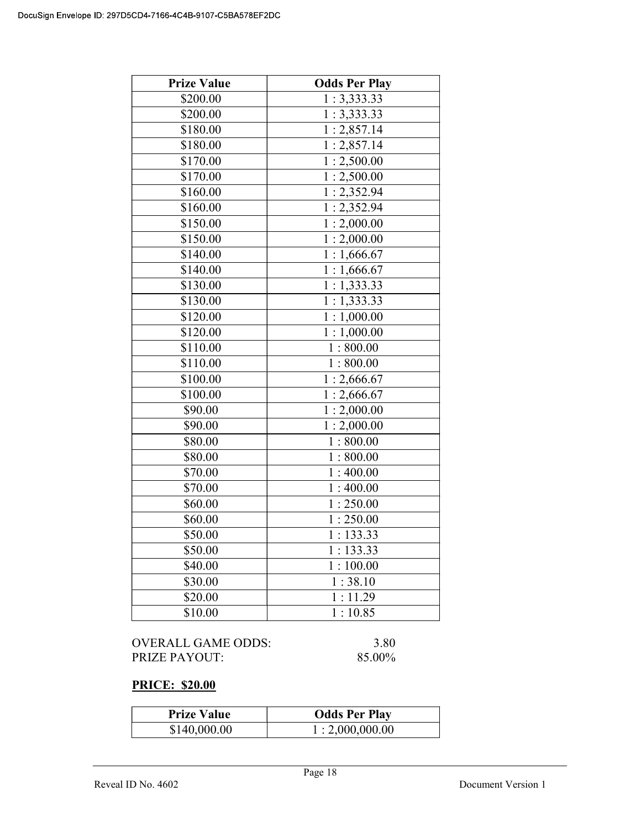| <b>Prize Value</b> | <b>Odds Per Play</b>      |
|--------------------|---------------------------|
| \$200.00           | 1:3,333.33                |
| \$200.00           | 1:3,333.33                |
| \$180.00           | 1:2,857.14                |
| \$180.00           | 1:2,857.14                |
| \$170.00           | 1:2,500.00                |
| \$170.00           | 1:2,500.00                |
| \$160.00           | 1:2,352.94                |
| \$160.00           | 1:2,352.94                |
| \$150.00           | 1:2,000.00                |
| \$150.00           | 1:2,000.00                |
| \$140.00           | 1:1,666.67                |
| \$140.00           | $\overline{1}$ : 1,666.67 |
| \$130.00           | 1:1,333.33                |
| \$130.00           | 1:1,333.33                |
| \$120.00           | 1:1,000.00                |
| \$120.00           | 1:1,000.00                |
| \$110.00           | 1:800.00                  |
| \$110.00           | 1:800.00                  |
| \$100.00           | 1:2,666.67                |
| \$100.00           | 1:2,666.67                |
| \$90.00            | 1:2,000.00                |
| \$90.00            | 1:2,000.00                |
| \$80.00            | 1:800.00                  |
| \$80.00            | 1:800.00                  |
| \$70.00            | 1:400.00                  |
| \$70.00            | 1:400.00                  |
| \$60.00            | 1:250.00                  |
| \$60.00            | 1:250.00                  |
| \$50.00            | 1:133.33                  |
| \$50.00            | 1:133.33                  |
| \$40.00            | 1:100.00                  |
| \$30.00            | 1:38.10                   |
| \$20.00            | 1:11.29                   |
| \$10.00            | 1:10.85                   |

| OVERALL GAME ODDS: | 3.80   |
|--------------------|--------|
| PRIZE PAYOUT:      | 85.00% |

# PRICE: \$20.00

| <b>Prize Value</b> | <b>Odds Per Play</b> |
|--------------------|----------------------|
| \$140,000.00       | 1:2,000,000.00       |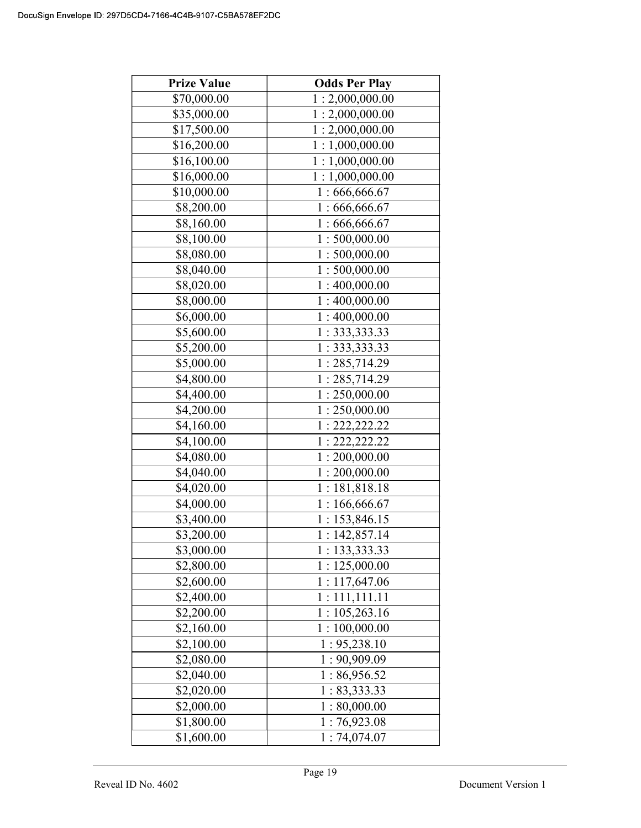| <b>Prize Value</b> | <b>Odds Per Play</b>        |
|--------------------|-----------------------------|
| \$70,000.00        | 1:2,000,000.00              |
| \$35,000.00        | 1:2,000,000.00              |
| \$17,500.00        | 1:2,000,000.00              |
| \$16,200.00        | 1:1,000,000.00              |
| \$16,100.00        | 1:1,000,000.00              |
| \$16,000.00        | 1:1,000,000.00              |
| \$10,000.00        | 1:666,666.67                |
| \$8,200.00         | 1:666,666.67                |
| \$8,160.00         | 1:666,666.67                |
| \$8,100.00         | 1:500,000.00                |
| \$8,080.00         | 1:500,000.00                |
| \$8,040.00         | 1:500,000.00                |
| \$8,020.00         | 1:400,000.00                |
| \$8,000.00         | $\overline{1}$ : 400,000.00 |
| \$6,000.00         | 1:400,000.00                |
| \$5,600.00         | 1:333,333.33                |
| \$5,200.00         | 1: 333, 333.33              |
| \$5,000.00         | 1:285,714.29                |
| \$4,800.00         | 1:285,714.29                |
| \$4,400.00         | 1:250,000.00                |
| \$4,200.00         | 1:250,000.00                |
| \$4,160.00         | 1: 222, 222.22              |
| \$4,100.00         | 1: 222, 222.22              |
| \$4,080.00         | 1:200,000.00                |
| \$4,040.00         | 1:200,000.00                |
| \$4,020.00         | 1:181,818.18                |
| \$4,000.00         | 1:166,666.67                |
| \$3,400.00         | 1:153,846.15                |
| \$3,200.00         | 1:142,857.14                |
| \$3,000.00         | 1:133,333.33                |
| \$2,800.00         | 1:125,000.00                |
| \$2,600.00         | 1:117,647.06                |
| \$2,400.00         | 1:111,111.11                |
| \$2,200.00         | 1:105,263.16                |
| \$2,160.00         | 1:100,000.00                |
| \$2,100.00         | 1: 95,238.10                |
| \$2,080.00         | 1:90,909.09                 |
| \$2,040.00         | 1:86,956.52                 |
| \$2,020.00         | 1: 83,333.33                |
| \$2,000.00         | 1:80,000.00                 |
| \$1,800.00         | 1:76,923.08                 |
| \$1,600.00         | 1:74,074.07                 |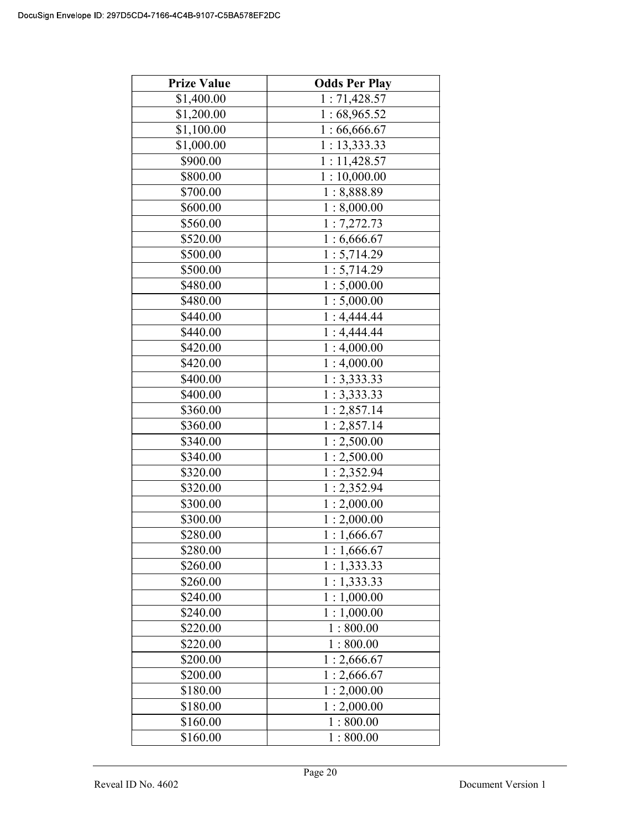| <b>Prize Value</b> | <b>Odds Per Play</b> |  |
|--------------------|----------------------|--|
| \$1,400.00         | 1:71,428.57          |  |
| \$1,200.00         | 1:68,965.52          |  |
| \$1,100.00         | 1:66,666.67          |  |
| \$1,000.00         | 1: 13,333.33         |  |
| \$900.00           | 1:11,428.57          |  |
| \$800.00           | 1:10,000.00          |  |
| \$700.00           | 1:8,888.89           |  |
| \$600.00           | 1:8,000.00           |  |
| \$560.00           | 1:7,272.73           |  |
| \$520.00           | 1:6,666.67           |  |
| \$500.00           | 1:5,714.29           |  |
| \$500.00           | 1:5,714.29           |  |
| \$480.00           | 1:5,000.00           |  |
| \$480.00           | 1:5,000.00           |  |
| \$440.00           | 1:4,444.44           |  |
| \$440.00           | 1:4,444.44           |  |
| \$420.00           | 1:4,000.00           |  |
| \$420.00           | 1:4,000.00           |  |
| \$400.00           | 1:3,333.33           |  |
| \$400.00           | 1:3,333.33           |  |
| \$360.00           | 1:2,857.14           |  |
| \$360.00           | 1:2,857.14           |  |
| \$340.00           | 1:2,500.00           |  |
| \$340.00           | 1:2,500.00           |  |
| \$320.00           | 1:2,352.94           |  |
| \$320.00           | 1:2,352.94           |  |
| \$300.00           | 1:2,000.00           |  |
| \$300.00           | 1:2,000.00           |  |
| \$280.00           | 1:1,666.67           |  |
| \$280.00           | 1:1,666.67           |  |
| \$260.00           | 1:1,333.33           |  |
| \$260.00           | 1:1,333.33           |  |
| \$240.00           | 1:1,000.00           |  |
| \$240.00           | 1:1,000.00           |  |
| \$220.00           | 1:800.00             |  |
| \$220.00           | 1:800.00             |  |
| \$200.00           | 1:2,666.67           |  |
| \$200.00           | 1:2,666.67           |  |
| \$180.00           | 1:2,000.00           |  |
| \$180.00           | 1:2,000.00           |  |
| \$160.00           | 1:800.00             |  |
| \$160.00           | 1:800.00             |  |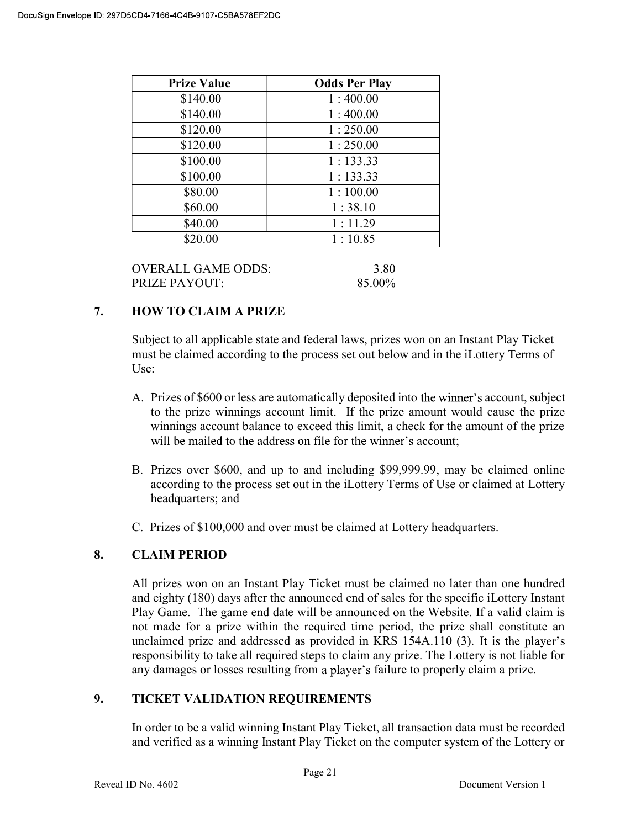| <b>Prize Value</b> | <b>Odds Per Play</b> |
|--------------------|----------------------|
| \$140.00           | 1:400.00             |
| \$140.00           | 1:400.00             |
| \$120.00           | 1:250.00             |
| \$120.00           | 1:250.00             |
| \$100.00           | 1:133.33             |
| \$100.00           | 1:133.33             |
| \$80.00            | 1:100.00             |
| \$60.00            | 1:38.10              |
| \$40.00            | 1:11.29              |
| \$20.00            | 1:10.85              |

| OVERALL GAME ODDS:   | 3.80   |
|----------------------|--------|
| <b>PRIZE PAYOUT:</b> | 85.00% |

# 7. HOW TO CLAIM A PRIZE

Subject to all applicable state and federal laws, prizes won on an Instant Play Ticket must be claimed according to the process set out below and in the iLottery Terms of Use:

- A. Prizes of \$600 or less are automatically deposited into the winner's account, subject to the prize winnings account limit. If the prize amount would cause the prize winnings account balance to exceed this limit, a check for the amount of the prize will be mailed to the address on file for the winner's account;
- B. Prizes over \$600, and up to and including \$99,999.99, may be claimed online according to the process set out in the iLottery Terms of Use or claimed at Lottery headquarters; and
- C. Prizes of \$100,000 and over must be claimed at Lottery headquarters.

## 8. CLAIM PERIOD

 All prizes won on an Instant Play Ticket must be claimed no later than one hundred and eighty (180) days after the announced end of sales for the specific iLottery Instant Play Game. The game end date will be announced on the Website. If a valid claim is not made for a prize within the required time period, the prize shall constitute an unclaimed prize and addressed as provided in KRS 154A.110 (3). It is the player's responsibility to take all required steps to claim any prize. The Lottery is not liable for any damages or losses resulting from a player's failure to properly claim a prize.

## 9. TICKET VALIDATION REQUIREMENTS

In order to be a valid winning Instant Play Ticket, all transaction data must be recorded and verified as a winning Instant Play Ticket on the computer system of the Lottery or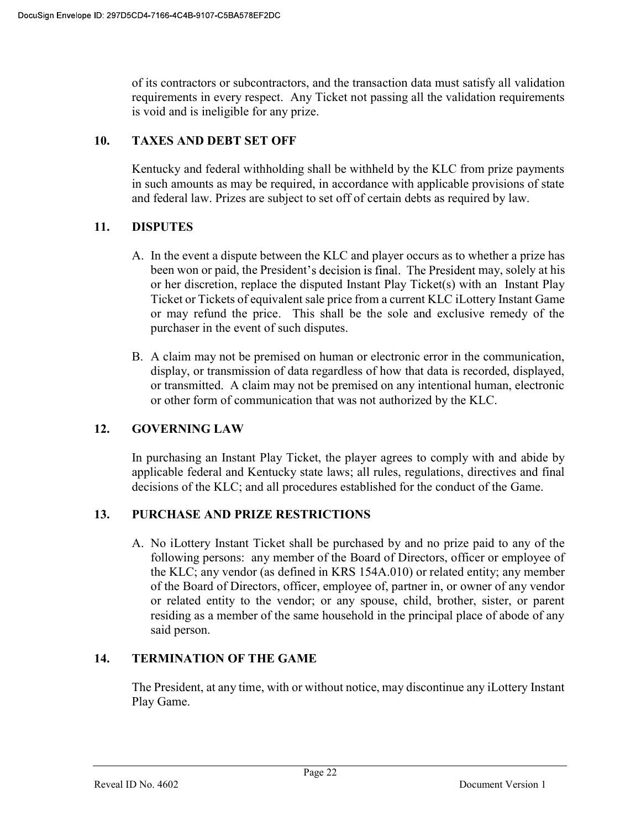of its contractors or subcontractors, and the transaction data must satisfy all validation requirements in every respect. Any Ticket not passing all the validation requirements is void and is ineligible for any prize.

# 10. TAXES AND DEBT SET OFF

 Kentucky and federal withholding shall be withheld by the KLC from prize payments in such amounts as may be required, in accordance with applicable provisions of state and federal law. Prizes are subject to set off of certain debts as required by law.

# 11. DISPUTES

- A. In the event a dispute between the KLC and player occurs as to whether a prize has been won or paid, the President's decision is final. The President may, solely at his or her discretion, replace the disputed Instant Play Ticket(s) with an Instant Play Ticket or Tickets of equivalent sale price from a current KLC iLottery Instant Game or may refund the price. This shall be the sole and exclusive remedy of the purchaser in the event of such disputes.
- B. A claim may not be premised on human or electronic error in the communication, display, or transmission of data regardless of how that data is recorded, displayed, or transmitted. A claim may not be premised on any intentional human, electronic or other form of communication that was not authorized by the KLC.

# 12. GOVERNING LAW

 In purchasing an Instant Play Ticket, the player agrees to comply with and abide by applicable federal and Kentucky state laws; all rules, regulations, directives and final decisions of the KLC; and all procedures established for the conduct of the Game.

# 13. PURCHASE AND PRIZE RESTRICTIONS

A. No iLottery Instant Ticket shall be purchased by and no prize paid to any of the following persons: any member of the Board of Directors, officer or employee of the KLC; any vendor (as defined in KRS 154A.010) or related entity; any member of the Board of Directors, officer, employee of, partner in, or owner of any vendor or related entity to the vendor; or any spouse, child, brother, sister, or parent residing as a member of the same household in the principal place of abode of any said person.

# 14. TERMINATION OF THE GAME

The President, at any time, with or without notice, may discontinue any iLottery Instant Play Game.